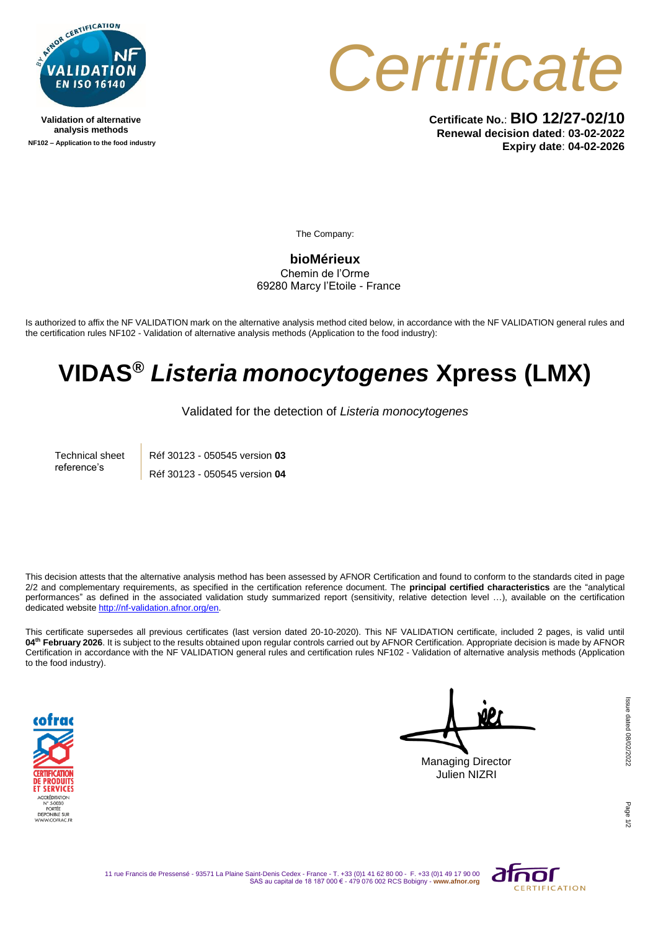

**Validation of alternative analysis methods NF102 – Application to the food industry**



**Certificate No.**: **BIO 12/27-02/10 Renewal decision dated**: **03-02-2022 Expiry date**: **04-02-2026**

The Company:

**bioMérieux** Chemin de l'Orme 69280 Marcy l'Etoile - France

Is authorized to affix the NF VALIDATION mark on the alternative analysis method cited below, in accordance with the NF VALIDATION general rules and the certification rules NF102 - Validation of alternative analysis methods (Application to the food industry):

## **VIDAS®** *Listeria monocytogenes* **Xpress (LMX)**

Validated for the detection of *Listeria monocytogenes*

Technical sheet reference's Réf 30123 - 050545 version **03** Réf 30123 - 050545 version **04**

This decision attests that the alternative analysis method has been assessed by AFNOR Certification and found to conform to the standards cited in page 2/2 and complementary requirements, as specified in the certification reference document. The **principal certified characteristics** are the "analytical performances" as defined in the associated validation study summarized report (sensitivity, relative detection level …), available on the certification dedicated websit[e http://nf-validation.afnor.org/en.](http://nf-validation.afnor.org/en)

This certificate supersedes all previous certificates (last version dated 20-10-2020). This NF VALIDATION certificate, included 2 pages, is valid until **04 th February 2026**. It is subject to the results obtained upon regular controls carried out by AFNOR Certification. Appropriate decision is made by AFNOR Certification in accordance with the NF VALIDATION general rules and certification rules NF102 - Validation of alternative analysis methods (Application to the food industry).



Managing Director Julien NIZRI

Page